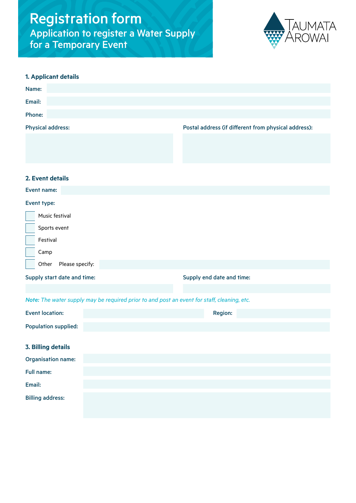# Registration form Application to register a Water Supply for a Temporary Event



# **1. Applicant details**

| Name:                    |                                                      |
|--------------------------|------------------------------------------------------|
| Email:                   |                                                      |
| <b>Phone:</b>            |                                                      |
| <b>Physical address:</b> | Postal address (if different from physical address): |
|                          |                                                      |

## **2. Event details**

## Event name:

### Event type:

| Music festival              |                           |
|-----------------------------|---------------------------|
| Sports event                |                           |
| Festival                    |                           |
| Camp                        |                           |
| Other<br>Please specify:    |                           |
| Supply start date and time: | Supply end date and time: |

# *Note: The water supply may be required prior to and post an event for staff, cleaning, etc.*

| <b>Event location:</b>      | <b>Region:</b> |
|-----------------------------|----------------|
| <b>Population supplied:</b> |                |
|                             |                |
| <b>3. Billing details</b>   |                |
| <b>Organisation name:</b>   |                |
| <b>Full name:</b>           |                |
| Email:                      |                |
| <b>Billing address:</b>     |                |
|                             |                |